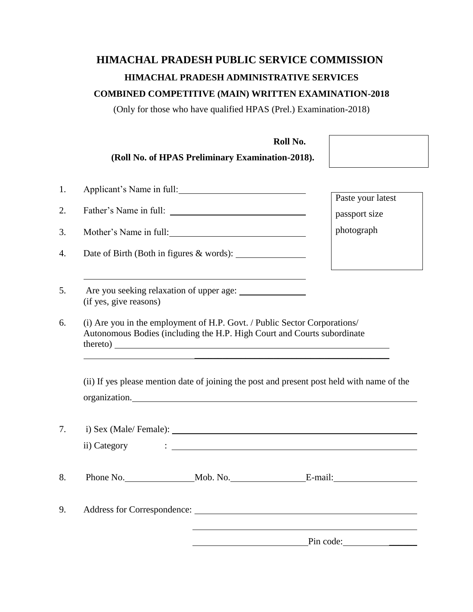# **HIMACHAL PRADESH PUBLIC SERVICE COMMISSION HIMACHAL PRADESH ADMINISTRATIVE SERVICES COMBINED COMPETITIVE (MAIN) WRITTEN EXAMINATION-2018**

(Only for those who have qualified HPAS (Prel.) Examination-2018)

**Roll No.**

|                        | (Roll No. of HPAS Preliminary Examination-2018).                                                                                                     |                                                                                                                                                         |
|------------------------|------------------------------------------------------------------------------------------------------------------------------------------------------|---------------------------------------------------------------------------------------------------------------------------------------------------------|
|                        | Applicant's Name in full:                                                                                                                            |                                                                                                                                                         |
|                        |                                                                                                                                                      | Paste your latest                                                                                                                                       |
|                        | Mother's Name in full:                                                                                                                               | passport size<br>photograph                                                                                                                             |
|                        |                                                                                                                                                      |                                                                                                                                                         |
| (if yes, give reasons) |                                                                                                                                                      |                                                                                                                                                         |
|                        | (i) Are you in the employment of H.P. Govt. / Public Sector Corporations/<br>Autonomous Bodies (including the H.P. High Court and Courts subordinate | thereto)                                                                                                                                                |
|                        |                                                                                                                                                      | (ii) If yes please mention date of joining the post and present post held with name of the<br>organization.                                             |
|                        |                                                                                                                                                      |                                                                                                                                                         |
| ii) Category           |                                                                                                                                                      | $\mathcal{L} = \{ \mathcal{L} \mid \mathcal{L} \in \mathcal{L} \}$ . The contract of $\mathcal{L} = \{ \mathcal{L} \mid \mathcal{L} \in \mathcal{L} \}$ |
|                        |                                                                                                                                                      |                                                                                                                                                         |
|                        |                                                                                                                                                      |                                                                                                                                                         |
|                        |                                                                                                                                                      | Pin code:                                                                                                                                               |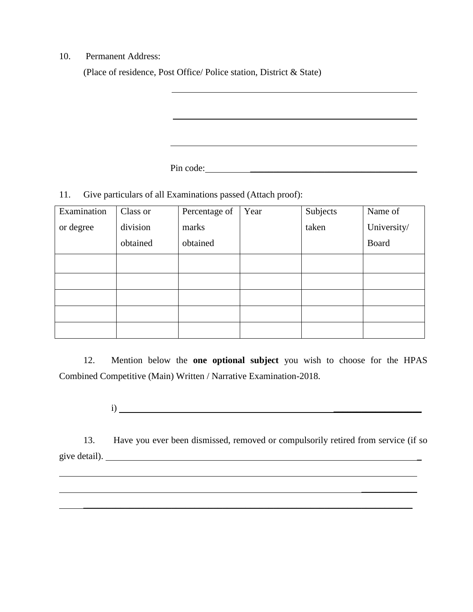10. Permanent Address:

(Place of residence, Post Office/ Police station, District & State)

Pin code:

11. Give particulars of all Examinations passed (Attach proof):

| Examination | Class or | Percentage of | Year | Subjects | Name of     |
|-------------|----------|---------------|------|----------|-------------|
| or degree   | division | marks         |      | taken    | University/ |
|             | obtained | obtained      |      |          | Board       |
|             |          |               |      |          |             |
|             |          |               |      |          |             |
|             |          |               |      |          |             |
|             |          |               |      |          |             |
|             |          |               |      |          |             |

l,

\_\_\_\_\_\_\_\_\_\_\_\_

12. Mention below the **one optional subject** you wish to choose for the HPAS Combined Competitive (Main) Written / Narrative Examination-2018.

 $i)$   $\overline{\phantom{a}}$ 

13. Have you ever been dismissed, removed or compulsorily retired from service (if so give detail). \_

\_\_\_\_\_\_\_\_\_\_\_\_\_\_\_\_\_\_\_\_\_\_\_\_\_\_\_\_\_\_\_\_\_\_\_\_\_\_\_\_\_\_\_\_\_\_\_\_\_\_\_\_\_\_\_\_\_\_\_\_\_\_\_\_\_\_\_\_\_\_\_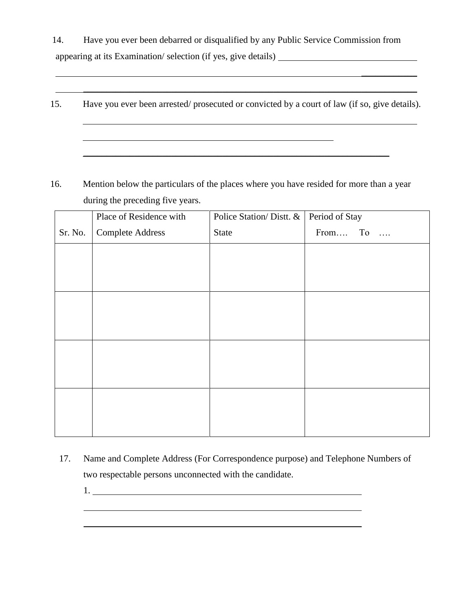14. Have you ever been debarred or disqualified by any Public Service Commission from appearing at its Examination/ selection (if yes, give details)

15. Have you ever been arrested/ prosecuted or convicted by a court of law (if so, give details).

\_\_\_\_\_\_\_\_\_\_\_\_\_\_\_\_\_\_\_\_\_\_\_\_\_\_\_\_\_\_\_\_\_\_\_\_\_\_\_\_\_\_\_\_\_\_\_\_\_\_\_\_\_\_\_\_\_\_\_\_\_\_\_\_\_\_

 $\_$  , and the set of the set of the set of the set of the set of the set of the set of the set of the set of the set of the set of the set of the set of the set of the set of the set of the set of the set of the set of th

 $\frac{1}{2}$ 

16. Mention below the particulars of the places where you have resided for more than a year during the preceding five years.

|         | Place of Residence with | Police Station/Distt. & | Period of Stay |
|---------|-------------------------|-------------------------|----------------|
| Sr. No. | <b>Complete Address</b> | <b>State</b>            | From To        |
|         |                         |                         |                |
|         |                         |                         |                |
|         |                         |                         |                |
|         |                         |                         |                |
|         |                         |                         |                |
|         |                         |                         |                |
|         |                         |                         |                |
|         |                         |                         |                |
|         |                         |                         |                |
|         |                         |                         |                |
|         |                         |                         |                |
|         |                         |                         |                |

- 17. Name and Complete Address (For Correspondence purpose) and Telephone Numbers of two respectable persons unconnected with the candidate.
	- 1.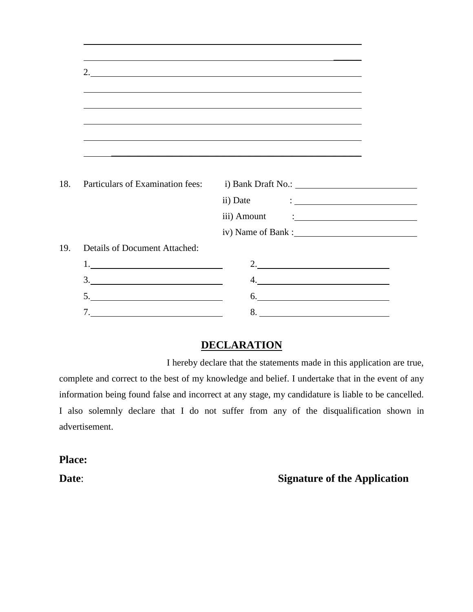|                                                                                                                                                                                                                                                                                                                                                                                                                                                                                                                             | 2.<br>,我们也不会有什么。""我们的人,我们也不会有什么?""我们的人,我们也不会有什么?""我们的人,我们也不会有什么?""我们的人,我们也不会有什么?""我们的人                                                                                                                                                                                                                                                                                                                                                                                                              |
|-----------------------------------------------------------------------------------------------------------------------------------------------------------------------------------------------------------------------------------------------------------------------------------------------------------------------------------------------------------------------------------------------------------------------------------------------------------------------------------------------------------------------------|-----------------------------------------------------------------------------------------------------------------------------------------------------------------------------------------------------------------------------------------------------------------------------------------------------------------------------------------------------------------------------------------------------------------------------------------------------------------------------------------------------|
|                                                                                                                                                                                                                                                                                                                                                                                                                                                                                                                             |                                                                                                                                                                                                                                                                                                                                                                                                                                                                                                     |
|                                                                                                                                                                                                                                                                                                                                                                                                                                                                                                                             | ,我们也不会有什么。""我们的人,我们也不会有什么?""我们的人,我们也不会有什么?""我们的人,我们也不会有什么?""我们的人,我们也不会有什么?""我们的人                                                                                                                                                                                                                                                                                                                                                                                                                    |
|                                                                                                                                                                                                                                                                                                                                                                                                                                                                                                                             | ,我们也不会有什么。""我们的人,我们也不会有什么?""我们的人,我们也不会有什么?""我们的人,我们也不会有什么?""我们的人,我们也不会有什么?""我们的人                                                                                                                                                                                                                                                                                                                                                                                                                    |
|                                                                                                                                                                                                                                                                                                                                                                                                                                                                                                                             |                                                                                                                                                                                                                                                                                                                                                                                                                                                                                                     |
| Particulars of Examination fees:                                                                                                                                                                                                                                                                                                                                                                                                                                                                                            |                                                                                                                                                                                                                                                                                                                                                                                                                                                                                                     |
|                                                                                                                                                                                                                                                                                                                                                                                                                                                                                                                             |                                                                                                                                                                                                                                                                                                                                                                                                                                                                                                     |
|                                                                                                                                                                                                                                                                                                                                                                                                                                                                                                                             | iii) Amount<br><u> 1990 - Andrea Station, amerikansk politiker (</u>                                                                                                                                                                                                                                                                                                                                                                                                                                |
|                                                                                                                                                                                                                                                                                                                                                                                                                                                                                                                             |                                                                                                                                                                                                                                                                                                                                                                                                                                                                                                     |
|                                                                                                                                                                                                                                                                                                                                                                                                                                                                                                                             |                                                                                                                                                                                                                                                                                                                                                                                                                                                                                                     |
|                                                                                                                                                                                                                                                                                                                                                                                                                                                                                                                             |                                                                                                                                                                                                                                                                                                                                                                                                                                                                                                     |
|                                                                                                                                                                                                                                                                                                                                                                                                                                                                                                                             | 2. $\frac{1}{2}$ $\frac{1}{2}$ $\frac{1}{2}$ $\frac{1}{2}$ $\frac{1}{2}$ $\frac{1}{2}$ $\frac{1}{2}$ $\frac{1}{2}$ $\frac{1}{2}$ $\frac{1}{2}$ $\frac{1}{2}$ $\frac{1}{2}$ $\frac{1}{2}$ $\frac{1}{2}$ $\frac{1}{2}$ $\frac{1}{2}$ $\frac{1}{2}$ $\frac{1}{2}$ $\frac{1}{2}$ $\frac{1}{2}$ $\frac{1}{2}$ $\frac{1}{2}$                                                                                                                                                                              |
|                                                                                                                                                                                                                                                                                                                                                                                                                                                                                                                             | $\begin{array}{c} \n4. \quad \textcolor{blue}{\textbf{12.12}} \quad \textcolor{blue}{\textbf{24.13}} \quad \textcolor{blue}{\textbf{25.13}} \quad \textcolor{blue}{\textbf{26.13}} \quad \textcolor{blue}{\textbf{27.13}} \quad \textcolor{blue}{\textbf{28.13}} \quad \textcolor{blue}{\textbf{29.13}} \quad \textcolor{blue}{\textbf{21.13}} \quad \textcolor{blue}{\textbf{21.13}} \quad \textcolor{blue}{\textbf{21.13}} \quad \textcolor{blue}{\textbf{21.13}} \quad \textcolor{blue}{\textbf$ |
| Details of Document Attached:<br>$\begin{tabular}{c} 1. & \begin{tabular}{@{}c@{}} \hline \multicolumn{3}{@{}c@{}} \multicolumn{3}{@{}c@{}} \multicolumn{3}{@{}c@{}} \multicolumn{3}{@{}c@{}} \multicolumn{3}{@{}c@{}} \multicolumn{3}{@{}c@{}} \multicolumn{3}{@{}c@{}} \multicolumn{3}{@{}c@{}} \multicolumn{3}{@{}c@{}} \multicolumn{3}{@{}c@{}} \multicolumn{3}{@{}c@{}} \multicolumn{3}{@{}c@{}} \multicolumn{3}{@{}c@{}} \multicolumn{3}{@{}c@{}} \multicolumn{3}{@{}c@$<br>$\begin{array}{c}\n3.\n\end{array}$<br>5. | $\begin{array}{c}\n6.\n\end{array}$                                                                                                                                                                                                                                                                                                                                                                                                                                                                 |

# **DECLARATION**

I hereby declare that the statements made in this application are true, complete and correct to the best of my knowledge and belief. I undertake that in the event of any information being found false and incorrect at any stage, my candidature is liable to be cancelled. I also solemnly declare that I do not suffer from any of the disqualification shown in advertisement.

**Place:**

# **Date: Signature of the Application**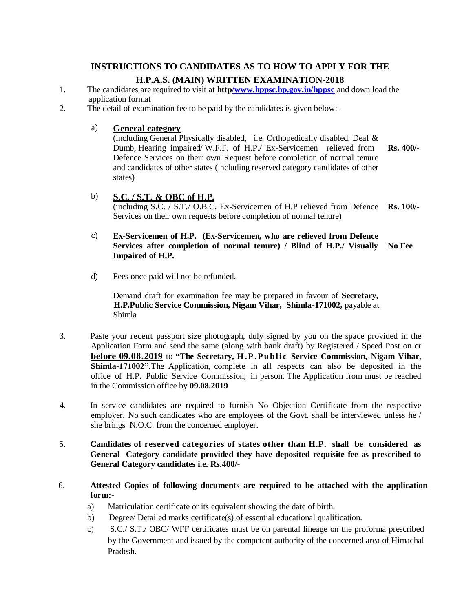# **INSTRUCTIONS TO CANDIDATES AS TO HOW TO APPLY FOR THE H.P.A.S. (MAIN) WRITTEN EXAMINATION-2018**

- 1. The candidates are required to visit at **htt[p/www.hppsc.hp.gov.in/hppsc](http://www.hp.gov.in/hppsc)** and [down](http://www.hp.gov.in/hppsc) load the application format
- 2. The detail of examination fee to be paid by the candidates is given below:-

#### a) **General category**

(including General Physically disabled, i.e. Orthopedically disabled, Deaf & Dumb, Hearing impaired/ W.F.F. of H.P./ Ex-Servicemen relieved from **Rs. 400/-** Defence Services on their own Request before completion of normal tenure and candidates of other states (including reserved category candidates of other states)

b) **S.C. / S.T. & OBC of H.P.** (including S.C. / S.T./ O.B.C. Ex-Servicemen of H.P relieved from Defence **Rs. 100/-** Services on their own requests before completion of normal tenure)

#### c) **Ex-Servicemen of H.P. (Ex-Servicemen, who are relieved from Defence Services after completion of normal tenure) / Blind of H.P./ Visually No Fee Impaired of H.P.**

d) Fees once paid will not be refunded.

Demand draft for examination fee may be prepared in favour of **Secretary, H.P.Public Service Commission, Nigam Vihar, Shimla-171002,** payable at Shimla

- 3. Paste your recent passport size photograph, duly signed by you on the space provided in the Application Form and send the same (along with bank draft) by Registered / Speed Post on or **before 09.08.2019** to **"The Secretary, H . P . P u b l i c Service Commission, Nigam Vihar, Shimla-171002".**The Application, complete in all respects can also be deposited in the office of H.P. Public Service Commission, in person. The Application from must be reached in the Commission office by **09.08.2019**
- 4. In service candidates are required to furnish No Objection Certificate from the respective employer. No such candidates who are employees of the Govt. shall be interviewed unless he / she brings N.O.C. from the concerned employer.
- 5. **Candidates of reserved categories of states other than H.P. shall be considered as General Category candidate provided they have deposited requisite fee as prescribed to General Category candidates i.e. Rs.400/-**
- 6. **Attested Copies of following documents are required to be attached with the application form:**
	- a) Matriculation certificate or its equivalent showing the date of birth.
	- b) Degree/ Detailed marks certificate(s) of essential educational qualification.
	- c) S.C./ S.T./ OBC/ WFF certificates must be on parental lineage on the proforma prescribed by the Government and issued by the competent authority of the concerned area of Himachal Pradesh.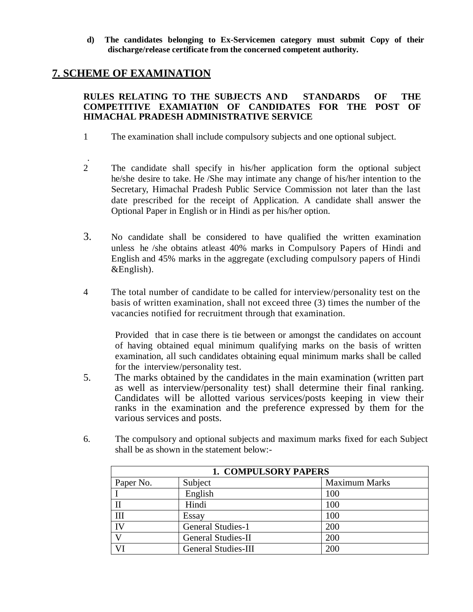**d) The candidates belonging to Ex-Servicemen category must submit Copy of their discharge/release certificate from the concerned competent authority.**

### **7. SCHEME OF EXAMINATION**

#### **RULES RELATING TO THE SUBJECTS AND STANDARDS OF THE COMPETITIVE EXAMIATI0N OF CANDIDATES FOR THE POST OF HIMACHAL PRADESH ADMINISTRATIVE SERVICE**

- 1 The examination shall include compulsory subjects and one optional subject.
- . 2 The candidate shall specify in his/her application form the optional subject he/she desire to take. He /She may intimate any change of his/her intention to the Secretary, Himachal Pradesh Public Service Commission not later than the last date prescribed for the receipt of Application. A candidate shall answer the Optional Paper in English or in Hindi as per his/her option.
- 3. No candidate shall be considered to have qualified the written examination unless he /she obtains atleast 40% marks in Compulsory Papers of Hindi and English and 45% marks in the aggregate (excluding compulsory papers of Hindi &English).
- 4 The total number of candidate to be called for interview/personality test on the basis of written examination, shall not exceed three (3) times the number of the vacancies notified for recruitment through that examination.

Provided that in case there is tie between or amongst the candidates on account of having obtained equal minimum qualifying marks on the basis of written examination, all such candidates obtaining equal minimum marks shall be called for the interview/personality test.

- 5. The marks obtained by the candidates in the main examination (written part as well as interview/personality test) shall determine their final ranking. Candidates will be allotted various services/posts keeping in view their ranks in the examination and the preference expressed by them for the various services and posts.
- 6. The compulsory and optional subjects and maximum marks fixed for each Subject shall be as shown in the statement below:-

| <b>1. COMPULSORY PAPERS</b> |                            |                      |
|-----------------------------|----------------------------|----------------------|
| Paper No.                   | Subject                    | <b>Maximum Marks</b> |
|                             | English                    | 100                  |
|                             | Hindi                      | 100                  |
| Ш                           | Essay                      | 100                  |
| IV                          | <b>General Studies-1</b>   | 200                  |
|                             | <b>General Studies-II</b>  | 200                  |
|                             | <b>General Studies-III</b> | 200                  |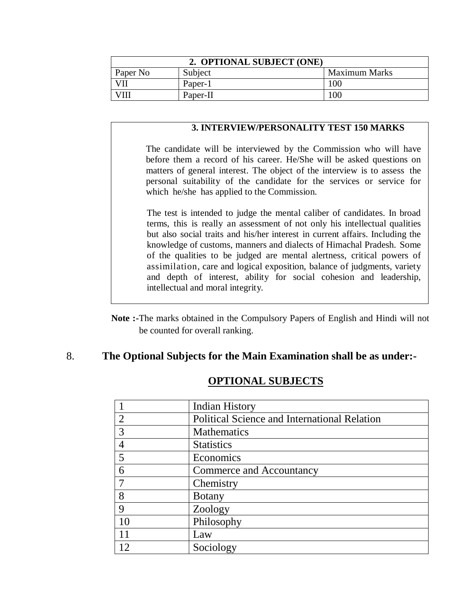| 2. OPTIONAL SUBJECT (ONE) |          |                      |
|---------------------------|----------|----------------------|
| Paper No                  | Subject  | <b>Maximum Marks</b> |
|                           | Paper-1  | 100                  |
|                           | Paper-II | 100                  |

#### **3. INTERVIEW/PERSONALITY TEST 150 MARKS**

The candidate will be interviewed by the Commission who will have before them a record of his career. He/She will be asked questions on matters of general interest. The object of the interview is to assess the personal suitability of the candidate for the services or service for which he/she has applied to the Commission.

The test is intended to judge the mental caliber of candidates. In broad terms, this is really an assessment of not only his intellectual qualities but also social traits and his/her interest in current affairs. Including the knowledge of customs, manners and dialects of Himachal Pradesh. Some of the qualities to be judged are mental alertness, critical powers of assimilation, care and logical exposition, balance of judgments, variety and depth of interest, ability for social cohesion and leadership, intellectual and moral integrity.

**Note :-**The marks obtained in the Compulsory Papers of English and Hindi will not be counted for overall ranking.

### 8. **The Optional Subjects for the Main Examination shall be as under:-**

|                             | <b>Indian History</b>                        |
|-----------------------------|----------------------------------------------|
| $\mathcal{D}_{\mathcal{L}}$ | Political Science and International Relation |
| 3                           | Mathematics                                  |
|                             | <b>Statistics</b>                            |
|                             | Economics                                    |
|                             | Commerce and Accountancy                     |
|                             | Chemistry                                    |
| 8                           | <b>Botany</b>                                |
| Q                           | Zoology                                      |
| 1 <sub>0</sub>              | Philosophy                                   |
| 11                          | Law                                          |
|                             | Sociology                                    |

# **OPTIONAL SUBJECTS**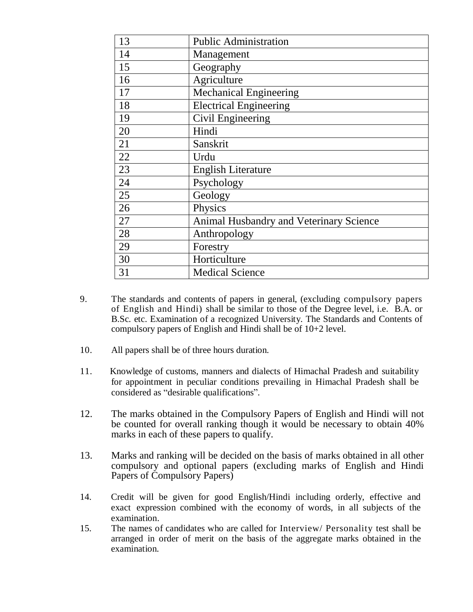| 13 | <b>Public Administration</b>            |
|----|-----------------------------------------|
| 14 | Management                              |
| 15 | Geography                               |
| 16 | Agriculture                             |
| 17 | <b>Mechanical Engineering</b>           |
| 18 | <b>Electrical Engineering</b>           |
| 19 | Civil Engineering                       |
| 20 | Hindi                                   |
| 21 | Sanskrit                                |
| 22 | Urdu                                    |
| 23 | <b>English Literature</b>               |
| 24 | Psychology                              |
| 25 | Geology                                 |
| 26 | Physics                                 |
| 27 | Animal Husbandry and Veterinary Science |
| 28 | Anthropology                            |
| 29 | Forestry                                |
| 30 | Horticulture                            |
| 31 | <b>Medical Science</b>                  |

- 9. The standards and contents of papers in general, (excluding compulsory papers of English and Hindi) shall be similar to those of the Degree level, i.e. B.A. or B.Sc. etc. Examination of a recognized University. The Standards and Contents of compulsory papers of English and Hindi shall be of 10+2 level.
- 10. All papers shall be of three hours duration.
- 11. Knowledge of customs, manners and dialects of Himachal Pradesh and suitability for appointment in peculiar conditions prevailing in Himachal Pradesh shall be considered as "desirable qualifications".
- 12. The marks obtained in the Compulsory Papers of English and Hindi will not be counted for overall ranking though it would be necessary to obtain 40% marks in each of these papers to qualify.
- 13. Marks and ranking will be decided on the basis of marks obtained in all other compulsory and optional papers (excluding marks of English and Hindi Papers of Compulsory Papers)
- 14. Credit will be given for good English/Hindi including orderly, effective and exact expression combined with the economy of words, in all subjects of the examination.
- 15. The names of candidates who are called for Interview/ Personality test shall be arranged in order of merit on the basis of the aggregate marks obtained in the examination.